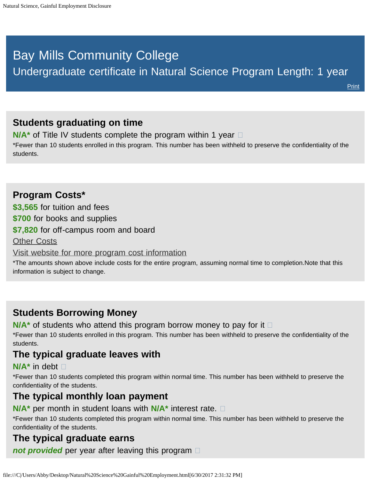# <span id="page-0-0"></span>Bay Mills Community College

Undergraduate certificate in Natural Science Program Length: 1 year

**[Print](file:///C|/Users/Abby/Desktop/03.0101-GedtPrint.html)** 

# **Students graduating on time**

**N/A<sup>\*</sup>** of Title IV students complete the program within 1 year  $\Box$ 

\*Fewer than 10 students enrolled in this program. This number has been withheld to preserve the confidentiality of the students.

# **Program Costs\* \$3,565** for tuition and fees **\$700** for books and supplies **\$7,820** for off-campus room and board [Other Costs](#page-0-0) [Visit website for more program cost information](http://bmcc.edu/admissions/financial-aid/understanding-tuition)

\*The amounts shown above include costs for the entire program, assuming normal time to completion.Note that this information is subject to change.

# **Students Borrowing Money**

**N/A<sup>\*</sup>** of students who attend this program borrow money to pay for it  $\Box$ 

\*Fewer than 10 students enrolled in this program. This number has been withheld to preserve the confidentiality of the students.

# **The typical graduate leaves with**

#### **N/A\*** in debt

\*Fewer than 10 students completed this program within normal time. This number has been withheld to preserve the confidentiality of the students.

#### **The typical monthly loan payment**

**N/A\*** per month in student loans with **N/A\*** interest rate.

\*Fewer than 10 students completed this program within normal time. This number has been withheld to preserve the confidentiality of the students.

#### **The typical graduate earns**

*not provided* per year after leaving this program  $\Box$